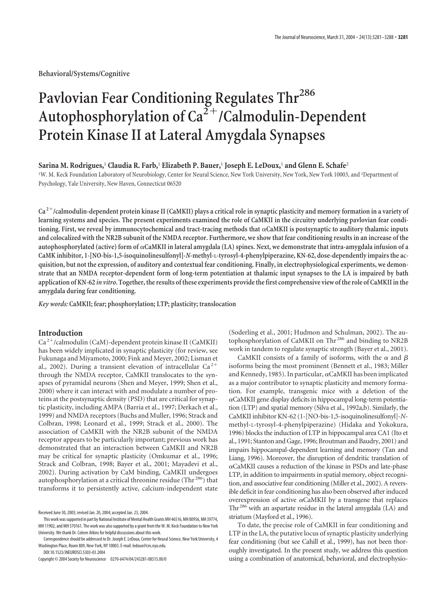**Behavioral/Systems/Cognitive**

# Pavlovian Fear Conditioning Regulates Thr<sup>286</sup> Autophosphorylation of Ca<sup>2+</sup>/Calmodulin-Dependent **Protein Kinase II at Lateral Amygdala Synapses**

**Sarina M. Rodrigues,**<sup>1</sup> **Claudia R. Farb,**<sup>1</sup> **Elizabeth P. Bauer,**<sup>1</sup> **Joseph E. LeDoux,**<sup>1</sup> **and Glenn E. Schafe**<sup>2</sup>

1 W. M. Keck Foundation Laboratory of Neurobiology, Center for Neural Science, New York University, New York, New York 10003, and <sup>2</sup> Department of Psychology, Yale University, New Haven, Connecticut 06520

**Ca <sup>2</sup>/calmodulin-dependent protein kinase II (CaMKII) plays a critical role in synaptic plasticity and memory formation in a variety of learning systems and species. The present experiments examined the role of CaMKII in the circuitry underlying pavlovian fear conditioning. First, we reveal by immunocytochemical and tract-tracing methods that CaMKII is postsynaptic to auditory thalamic inputs and colocalized with the NR2B subunit of the NMDA receptor. Furthermore, we show that fear conditioning results in an increase of the autophosphorylated (active) form of CaMKII in lateral amygdala (LA) spines. Next, we demonstrate that intra-amygdala infusion of a CaMK inhibitor, 1-[NO-bis-1,5-isoquinolinesulfonyl]-***N***-methyl-L-tyrosyl-4-phenylpiperazine, KN-62, dose-dependently impairs the acquisition, but not the expression, of auditory and contextual fear conditioning. Finally, in electrophysiological experiments, we demonstrate that an NMDA receptor-dependent form of long-term potentiation at thalamic input synapses to the LA is impaired by bath application of KN-62** *in vitro***. Together, the results of these experiments provide the first comprehensive view of the role of CaMKII in the amygdala during fear conditioning.**

*Key words:* **CaMKII; fear; phosphorylation; LTP; plasticity; translocation**

## **Introduction**

Ca<sup>2+</sup>/calmodulin (CaM)-dependent protein kinase II (CaMKII) has been widely implicated in synaptic plasticity (for review, see Fukunaga and Miyamoto, 2000; Fink and Meyer, 2002; Lisman et al., 2002). During a transient elevation of intracellular  $Ca^{2+}$ through the NMDA receptor, CaMKII translocates to the synapses of pyramidal neurons (Shen and Meyer, 1999; Shen et al., 2000) where it can interact with and modulate a number of proteins at the postsynaptic density (PSD) that are critical for synaptic plasticity, including AMPA (Barria et al., 1997; Derkach et al., 1999) and NMDA receptors (Buchs and Muller, 1996; Strack and Colbran, 1998; Leonard et al., 1999; Strack et al., 2000). The association of CaMKII with the NR2B subunit of the NMDA receptor appears to be particularly important; previous work has demonstrated that an interaction between CaMKII and NR2B may be critical for synaptic plasticity (Omkumar et al., 1996; Strack and Colbran, 1998; Bayer et al., 2001; Mayadevi et al., 2002). During activation by CaM binding, CaMKII undergoes autophosphorylation at a critical threonine residue (Thr $^{286}$ ) that transforms it to persistently active, calcium-independent state

(Soderling et al., 2001; Hudmon and Schulman, 2002). The autophosphorylation of CaMKII on Thr <sup>286</sup> and binding to NR2B work in tandem to regulate synaptic strength (Bayer et al., 2001).

CaMKII consists of a family of isoforms, with the  $\alpha$  and  $\beta$ isoforms being the most prominent (Bennett et al., 1983; Miller and Kennedy, 1985). In particular,  $\alpha$ CaMKII has been implicated as a major contributor to synaptic plasticity and memory formation. For example, transgenic mice with a deletion of the  $\alpha$ CaMKII gene display deficits in hippocampal long-term potentiation (LTP) and spatial memory (Silva et al., 1992a,b). Similarly, the CaMKII inhibitor KN-62 (1-[NO-bis-1,5-isoquinolinesulfonyl]-*N*methyl-L-tyrosyl-4-phenylpiperazine) (Hidaka and Yokokura, 1996) blocks the induction of LTP in hippocampal area CA1 (Ito et al., 1991; Stanton and Gage, 1996; Broutman and Baudry, 2001) and impairs hippocampal-dependent learning and memory (Tan and Liang, 1996). Moreover, the disruption of dendritic translation of  $\alpha$ CaMKII causes a reduction of the kinase in PSDs and late-phase LTP, in addition to impairments in spatial memory, object recognition, and associative fear conditioning (Miller et al., 2002). A reversible deficit in fear conditioning has also been observed after induced overexpression of active  $\alpha$ CaMKII by a transgene that replaces Thr <sup>286</sup> with an aspartate residue in the lateral amygdala (LA) and striatum (Mayford et al., 1996).

To date, the precise role of CaMKII in fear conditioning and LTP in the LA, the putative locus of synaptic plasticity underlying fear conditioning (but see Cahill et al., 1999), has not been thoroughly investigated. In the present study, we address this question using a combination of anatomical, behavioral, and electrophysio-

Received June 30, 2003; revised Jan. 20, 2004; accepted Jan. 23, 2004.

This work was supported in part by National Institute of Mental Health Grants MH 46516, MH 00956, MH 39774, MH 11902, and MH 570161. The work was also supported by a grant from the W. M. Keck Foundation to New York University. We thank Dr. Coleen Atkins for helpful discussions about this work.

Correspondence should be addressed to Dr. Joseph E. LeDoux, Center for Neural Science, New York University, 4 Washington Place, Room 809, New York, NY 10003. E-mail: ledoux@cns.nyu.edu.

DOI:10.1523/JNEUROSCI.5303-03.2004

Copyright © 2004 Society for Neuroscience 0270-6474/04/243281-08\$15.00/0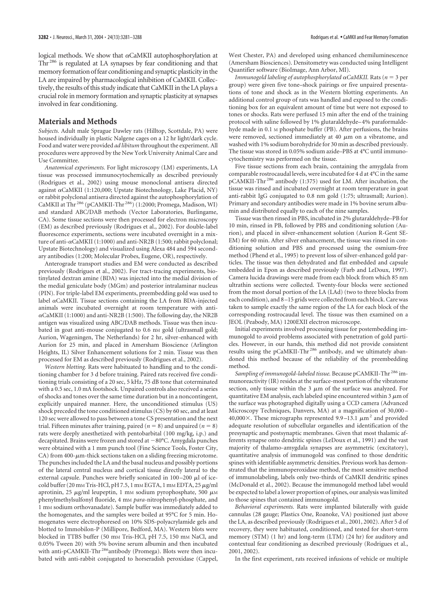logical methods. We show that  $\alpha$ CaMKII autophosphorylation at Thr <sup>286</sup> is regulated at LA synapses by fear conditioning and that memory formation of fear conditioning and synaptic plasticity in the LA are impaired by pharmacological inhibition of CaMKII. Collectively, the results of this study indicate that CaMKII in the LA plays a crucial role in memory formation and synaptic plasticity at synapses involved in fear conditioning.

#### **Materials and Methods**

*Subjects.* Adult male Sprague Dawley rats (Hilltop, Scottdale, PA) were housed individually in plastic Nalgene cages on a 12 hr light/dark cycle. Food and water were provided *ad libitum* throughout the experiment. All procedures were approved by the New York University Animal Care and Use Committee.

*Anatomical experiments.* For light microscopy (LM) experiments, LA tissue was processed immunocytochemically as described previously (Rodrigues et al., 2002) using mouse monoclonal antisera directed against  $\alpha$ CaMKII (1:120,000; Upstate Biotechnology, Lake Placid, NY) or rabbit polyclonal antisera directed against the autophosphorylation of CaMKII at Thr <sup>286</sup> (pCAMKII-Thr 286) (1:2000; Promega, Madison, WI) and standard ABC/DAB methods (Vector Laboratories, Burlingame, CA). Some tissue sections were then processed for electron microscopy (EM) as described previously (Rodrigues et al., 2002). For double-label fluorescence experiments, sections were incubated overnight in a mixture of anti- $\alpha$ CaMKII (1:1000) and anti-NR2B (1:500; rabbit polyclonal; Upstate Biotechnology) and visualized using Alexa 484 and 594 secondary antibodies (1:200; Molecular Probes, Eugene, OR), respectively.

Anterograde transport studies and EM were conducted as described previously (Rodrigues et al., 2002). For tract-tracing experiments, biotinylated dextran amine (BDA) was injected into the medial division of the medial geniculate body (MGm) and posterior intralaminar nucleus (PIN). For triple-label EM experiments, preembedding gold was used to label  $\alpha$ CaMKII. Tissue sections containing the LA from BDA-injected animals were incubated overnight at room temperature with anti-  $\alpha$ CaMKII (1:1000) and anti-NR2B (1:500). The following day, the NR2B antigen was visualized using ABC/DAB methods. Tissue was then incubated in goat anti-mouse conjugated to 0.6 nm gold (ultrasmall gold; Aurion, Wageningen, The Netherlands) for 2 hr, silver-enhanced with Aurion for 25 min, and placed in Amersham Bioscience (Arlington Heights, IL) Silver Enhancement solutions for 2 min. Tissue was then processed for EM as described previously (Rodrigues et al., 2002).

*Western blotting.* Rats were habituated to handling and to the conditioning chamber for 3 d before training. Paired rats received five conditioning trials consisting of a 20 sec, 5 kHz, 75 dB tone that coterminated with a 0.5 sec, 1.0 mA footshock. Unpaired controls also received a series of shocks and tones over the same time duration but in a noncontingent, explicitly unpaired manner. Here, the unconditioned stimulus (US) shock preceded the tone conditioned stimulus (CS) by 60 sec, and at least 120 sec were allowed to pass between a tone CS presentation and the next trial. Fifteen minutes after training, paired ( $n = 8$ ) and unpaired ( $n = 8$ ) rats were deeply anesthetized with pentobarbital (100 mg/kg, i.p.) and decapitated. Brains were frozen and stored at  $-80^{\circ}$ C. Amygdala punches were obtained with a 1 mm punch tool (Fine Science Tools, Foster City,  $CA$ ) from 400- $\mu$ m-thick sections taken on a sliding freezing microtome. The punches included the LA and the basal nucleus and possibly portions of the lateral central nucleus and cortical tissue directly lateral to the external capsule. Punches were briefly sonicated in  $100-200 \mu l$  of icecold buffer (20 mm Tris-HCl, pH 7.5, 1 mm EGTA, 1 mm EDTA, 25  $\mu$ g/ml aprotinin, 25  $\mu$ g/ml leupeptin, 1 mm sodium pyrophosphate, 500  $\mu$ m phenylmethylsulfonyl fluoride, 4 mM *para*-nitrophenyl-phosphate, and 1 mM sodium orthovanadate). Sample buffer was immediately added to the homogenates, and the samples were boiled at 95°C for 5 min. Homogenates were electrophoresed on 10% SDS-polyacrylamide gels and blotted to Immobilon-P (Millipore, Bedford, MA). Western blots were blocked in TTBS buffer (50 mm Tris-HCl, pH 7.5, 150 mm NaCl, and 0.05% Tween 20) with 5% bovine serum albumin and then incubated with anti-pCAMKII-Thr<sup>286</sup>antibody (Promega). Blots were then incubated with anti-rabbit conjugated to horseradish peroxidase (Cappel,

West Chester, PA) and developed using enhanced chemiluminescence (Amersham Biosciences). Densitometry was conducted using Intelligent Quantifier software (BioImage, Ann Arbor, MI).

*Immunogold labeling of autophosphorylated* αCaMKII. Rats (*n* = 3 per group) were given five tone–shock pairings or five unpaired presentations of tone and shock as in the Western blotting experiments. An additional control group of rats was handled and exposed to the conditioning box for an equivalent amount of time but were not exposed to tones or shocks. Rats were perfused 15 min after the end of the training protocol with saline followed by 1% glutaraldehyde– 4% paraformaldehyde made in 0.1 M phosphate buffer (PB). After perfusions, the brains were removed, sectioned immediately at 40  $\mu$ m on a vibratome, and washed with 1% sodium borohydride for 30 min as described previously. The tissue was stored in 0.05% sodium azide–PBS at 4°C until immunocytochemistry was performed on the tissue.

Five tissue sections from each brain, containing the amygdala from comparable rostrocaudal levels, were incubated for 4 d at 4°C in the same pCAMKII-Thr <sup>286</sup> antibody (1:375) used for LM. After incubation, the tissue was rinsed and incubated overnight at room temperature in goat anti-rabbit IgG conjugated to 0.8 nm gold (1:75; ultrasmall; Aurion). Primary and secondary antibodies were made in 1% bovine serum albumin and distributed equally to each of the nine samples.

Tissue was then rinsed in PBS, incubated in 2% glutaraldehyde–PB for 10 min, rinsed in PB, followed by PBS and conditioning solution (Aurion), and placed in silver-enhancement solution (Aurion R-Gent SE-EM) for 60 min. After silver enhancement, the tissue was rinsed in conditioning solution and PBS and processed using the osmium-free method (Phend et al., 1995) to prevent loss of silver-enhanced gold particles. The tissue was then dehydrated and flat embedded and capsule embedded in Epon as described previously (Farb and LeDoux, 1997). Camera lucida drawings were made from each block from which 85 nm ultrathin sections were collected. Twenty-four blocks were sectioned from the most dorsal portion of the LA (LAd) (two to three blocks from each condition), and 8 –15 grids were collected from each block. Care was taken to sample exactly the same region of the LA for each block of the corresponding rostrocaudal level. The tissue was then examined on a JEOL (Peabody, MA) 1200EXII electron microscope.

Initial experiments involved processing tissue for postembedding immunogold to avoid problems associated with penetration of gold particles. However, in our hands, this method did not provide consistent results using the pCaMKII-Thr <sup>286</sup> antibody, and we ultimately abandoned this method because of the reliability of the preembedding method.

*Sampling of immunogold-labeled tissue.* Because pCAMKII-Thr <sup>286</sup> immunoreactivity (IR) resides at the surface-most portion of the vibratome section, only tissue within the  $3 \mu m$  of the surface was analyzed. For quantitative EM analysis, each labeled spine encountered within 3  $\mu$ m of the surface was photographed digitally using a CCD camera (Advanced Microscopy Techniques, Danvers, MA) at a magnification of 30,000 – 40,000 $\times$ . These micrographs represented 9.9–13.1  $\mu$ m<sup>2</sup> and provided adequate resolution of subcellular organelles and identification of the presynaptic and postsynaptic membranes. Given that most thalamic afferents synapse onto dendritic spines (LeDoux et al., 1991) and the vast majority of thalamo-amygdala synapses are asymmetric (excitatory), quantitative analysis of immunogold was confined to those dendritic spines with identifiable asymmetric densities. Previous work has demonstrated that the immunoperoxidase method, the most sensitive method of immunolabeling, labels only two-thirds of CaMKII dendritic spines (McDonald et al., 2002). Because the immunogold method label would be expected to label a lower proportion of spines, our analysis was limited to those spines that contained immunogold.

*Behavioral experiments.* Rats were implanted bilaterally with guide cannulas (28 gauge; Plastics One, Roanoke, VA) positioned just above the LA, as described previously (Rodrigues et al., 2001, 2002). After 5 d of recovery, they were habituated, conditioned, and tested for short-term memory (STM) (1 hr) and long-term (LTM) (24 hr) for auditory and contextual fear conditioning as described previously (Rodrigues et al., 2001, 2002).

In the first experiment, rats received infusions of vehicle or multiple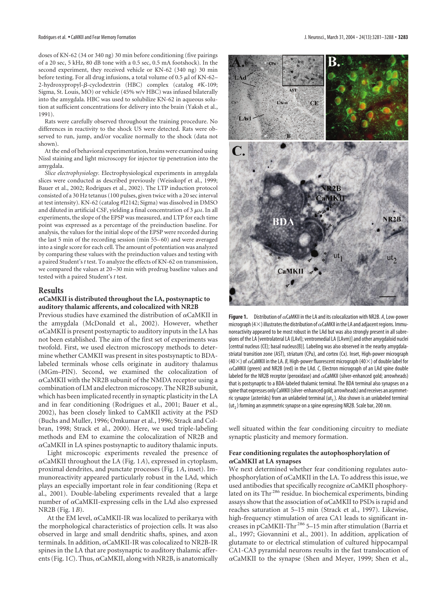doses of KN-62 (34 or 340 ng) 30 min before conditioning (five pairings of a 20 sec, 5 kHz, 80 dB tone with a 0.5 sec, 0.5 mA footshock). In the second experiment, they received vehicle or KN-62 (340 ng) 30 min before testing. For all drug infusions, a total volume of 0.5  $\mu$ l of KN-62– 2-hydroxypropyl- $\beta$ -cyclodextrin (HBC) complex (catalog #K-109; Sigma, St. Louis, MO) or vehicle (45% w/v HBC) was infused bilaterally into the amygdala. HBC was used to solubilize KN-62 in aqueous solution at sufficient concentrations for delivery into the brain (Yaksh et al., 1991).

Rats were carefully observed throughout the training procedure. No differences in reactivity to the shock US were detected. Rats were observed to run, jump, and/or vocalize normally to the shock (data not shown).

At the end of behavioral experimentation, brains were examined using Nissl staining and light microscopy for injector tip penetration into the amygdala.

*Slice electrophysiology.* Electrophysiological experiments in amygdala slices were conducted as described previously (Weisskopf et al., 1999; Bauer et al., 2002; Rodrigues et al., 2002). The LTP induction protocol consisted of a 30 Hz tetanus (100 pulses, given twice with a 20 sec interval at test intensity). KN-62 (catalog #I2142; Sigma) was dissolved in DMSO and diluted in artificial CSF, yielding a final concentration of  $3 \mu$ M. In all experiments, the slope of the EPSP was measured, and LTP for each time point was expressed as a percentage of the preinduction baseline. For analysis, the values for the initial slope of the EPSP were recorded during the last 5 min of the recording session (min 55–60) and were averaged into a single score for each cell. The amount of potentiation was analyzed by comparing these values with the preinduction values and testing with a paired Student's*t* test. To analyze the effects of KN-62 on transmission, we compared the values at 20–30 min with predrug baseline values and tested with a paired Student's *t* test.

#### **Results**

#### **CaMKII is distributed throughout the LA, postsynaptic to auditory thalamic afferents, and colocalized with NR2B**

Previous studies have examined the distribution of  $\alpha$ CaMKII in the amygdala (McDonald et al., 2002). However, whether  $\alpha$ CaMKII is present postsynaptic to auditory inputs in the LA has not been established. The aim of the first set of experiments was twofold. First, we used electron microscopy methods to determine whether CAMKII was present in sites postsynaptic to BDAlabeled terminals whose cells originate in auditory thalamus (MGm–PIN). Second, we examined the colocalization of  $\alpha$ CaMKII with the NR2B subunit of the NMDA receptor using a combination of LM and electron microscopy. The NR2B subunit, which has been implicated recently in synaptic plasticity in the LA and in fear conditioning (Rodrigues et al., 2001; Bauer et al., 2002), has been closely linked to CaMKII activity at the PSD (Buchs and Muller, 1996; Omkumar et al., 1996; Strack and Colbran, 1998; Strack et al., 2000). Here, we used triple-labeling methods and EM to examine the colocalization of NR2B and  $\alpha$ CaMKII in LA spines postsynaptic to auditory thalamic inputs.

Light microscopic experiments revealed the presence of  $\alpha$ CaMKII throughout the LA (Fig. 1A), expressed in cytoplasm, proximal dendrites, and punctate processes (Fig. 1*A*, inset). Immunoreactivity appeared particularly robust in the LAd, which plays an especially important role in fear conditioning (Repa et al., 2001). Double-labeling experiments revealed that a large number of  $\alpha$ CaMKII-expressing cells in the LAd also expressed NR2B (Fig. 1*B*).

At the EM level,  $\alpha$ CaMKII-IR was localized to perikarya with the morphological characteristics of projection cells. It was also observed in large and small dendritic shafts, spines, and axon terminals. In addition,  $\alpha$ CaMKII-IR was colocalized to NR2B-IR spines in the LA that are postsynaptic to auditory thalamic afferents (Fig. 1*C*). Thus,  $\alpha$ CaMKII, along with NR2B, is anatomically



**Figure 1.** Distribution of  $\alpha$ CaMKII in the LA and its colocalization with NR2B. A, Low-power micrograph (4 $\times$ ) illustrates the distribution of  $\alpha$ CaMKII in the LA and adjacent regions. Immunoreactivity appeared to be most robust in the LAd but was also strongly present in all subregions of the LA [ventrolateral LA (LAvl); ventromedial LA (LAvm)] and other amygdaloid nuclei [central nucleus (CE); basal nucleus(B)]. Labeling was also observed in the nearby amygdalastriatal transition zone (AST), striatum (CPu), and cortex (Cx). Inset, High-power micrograph (40 $\times$ ) of  $\alpha$ CaMKII in the LA. *B*, High-power fluorescent micrograph (40 $\times$ ) of double label for  $\alpha$ CaMKII (green) and NR2B (red) in the LAd. *C*, Electron micrograph of an LAd spine double labeled for the NR2B receptor (peroxidase) and  $\alpha$ CaMKII (silver-enhanced gold; arrowheads) that is postsynaptic to a BDA-labeled thalamic terminal. The BDA terminal also synapses on a spine that expresses only CaMKII (silver-enhanced gold; arrowheads) and receives an asymmetric synapse (asterisks) from an unlabeled terminal (ut<sub>1</sub>). Also shown is an unlabeled terminal  $(ut<sub>2</sub>)$  forming an asymmetric synapse on a spine expressing NR2B. Scale bar, 200 nm.

well situated within the fear conditioning circuitry to mediate synaptic plasticity and memory formation.

#### **Fear conditioning regulates the autophosphorylation of CaMKII at LA synapses**

We next determined whether fear conditioning regulates autophosphorylation of  $\alpha$ CaMKII in the LA. To address this issue, we used antibodies that specifically recognize  $\alpha$ CaMKII phosphorylated on its Thr<sup>286</sup> residue. In biochemical experiments, binding assays show that the association of  $\alpha$ CaMKII to PSDs is rapid and reaches saturation at 5–15 min (Strack et al., 1997). Likewise, high-frequency stimulation of area CA1 leads to significant increases in pCaMKII-Thr <sup>286</sup> 5–15 min after stimulation (Barria et al., 1997; Giovannini et al., 2001). In addition, application of glutamate to or electrical stimulation of cultured hippocampal CA1-CA3 pyramidal neurons results in the fast translocation of  $\alpha$ CaMKII to the synapse (Shen and Meyer, 1999; Shen et al.,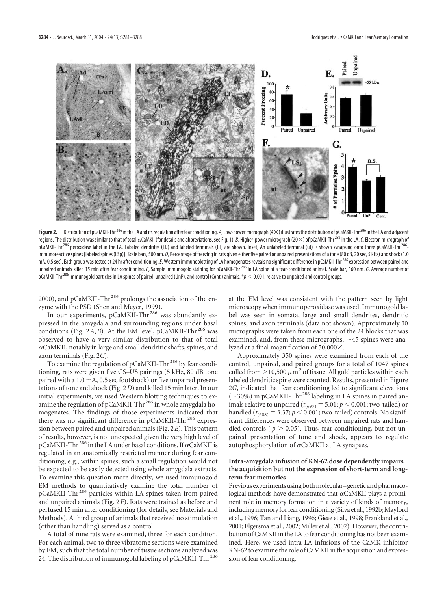

Figure 2. Distribution of pCaMKII-Thr<sup>286</sup> in the LA and its regulation after fear conditioning. *A*, Low-power micrograph (4×) illustrates the distribution of pCaMKII-Thr<sup>286</sup> in the LA and adjacent regions. The distribution was similar to that of total cxCaMKII (for details and abbreviations, see Fig. 1). *B*, Higher-power micrograph (20 $\times$ ) of pCaMKII-Thr<sup>286</sup> in the LA. C, Electron micrograph of pCaMKII-Thr<sup>286</sup> peroxidase label in the LA. Labeled dendrites (LD) and labeled terminals (LT) are shown. Inset, An unlabeled terminal (ut) is shown synapsing onto three pCaMKII-Thr<sup>286</sup>immunoreactive spines [labeled spines (LSp)]. Scale bars, 500 nm. *D*, Percentage of freezing in rats given either five paired or unpaired presentations of a tone (80 dB, 20 sec, 5 kHz) and shock (1.0 mA, 0.5 sec). Each group was tested at 24 hr after conditioning. E, Western immunoblotting of LA homogenates reveals no significant difference in pCaMKII-Thr<sup>286</sup> expression between paired and unpaired animals killed 15 min after fear conditioning. F, Sample immunogold staining for pCaMKII-Thr<sup>286</sup> in LA spine of a fear-conditioned animal. Scale bar, 160 nm. *G*, Average number of pCaMKII-Thr<sup>286</sup> immunogold particles in LA spines of paired, unpaired (UnP), and control (Cont.) animals. \*p < 0.001, relative to unpaired and control groups.

2000), and pCaMKII-Thr<sup>286</sup> prolongs the association of the enzyme with the PSD (Shen and Meyer, 1999).

In our experiments, pCaMKII-Thr<sup>286</sup> was abundantly expressed in the amygdala and surrounding regions under basal conditions (Fig.  $2A$ , *B*). At the EM level, pCaMKII-Thr<sup>286</sup> was observed to have a very similar distribution to that of total  $\alpha$ CaMKII, notably in large and small dendritic shafts, spines, and axon terminals (Fig. 2*C*).

To examine the regulation of pCaMKII-Thr<sup>286</sup> by fear conditioning, rats were given five CS–US pairings (5 kHz, 80 dB tone paired with a 1.0 mA, 0.5 sec footshock) or five unpaired presentations of tone and shock (Fig. 2*D*) and killed 15 min later. In our initial experiments, we used Western blotting techniques to examine the regulation of pCaMKII-Thr<sup>286</sup> in whole amygdala homogenates. The findings of those experiments indicated that there was no significant difference in pCaMKII-Thr<sup>286</sup> expression between paired and unpaired animals (Fig. 2*E*). This pattern of results, however, is not unexpected given the very high level of pCaMKII-Thr  $^{286}$  in the LA under basal conditions. If  $\alpha$  CaMKII is regulated in an anatomically restricted manner during fear conditioning, e.g., within spines, such a small regulation would not be expected to be easily detected using whole amygdala extracts. To examine this question more directly, we used immunogold EM methods to quantitatively examine the total number of pCaMKII-Thr <sup>286</sup> particles within LA spines taken from paired and unpaired animals (Fig. 2*F*). Rats were trained as before and perfused 15 min after conditioning (for details, see Materials and Methods). A third group of animals that received no stimulation (other than handling) served as a control.

A total of nine rats were examined, three for each condition. For each animal, two to three vibratome sections were examined by EM, such that the total number of tissue sections analyzed was 24. The distribution of immunogold labeling of pCaMKII-Thr<sup>286</sup>

at the EM level was consistent with the pattern seen by light microscopy when immunoperoxidase was used. Immunogold label was seen in somata, large and small dendrites, dendritic spines, and axon terminals (data not shown). Approximately 30 micrographs were taken from each one of the 24 blocks that was examined, and, from these micrographs,  $\sim$  45 spines were analyzed at a final magnification of  $50,000 \times$ .

Approximately 350 spines were examined from each of the control, unpaired, and paired groups for a total of 1047 spines culled from  $>$  10,500  $\mu$ m<sup>2</sup> of tissue. All gold particles within each labeled dendritic spine were counted. Results, presented in Figure 2*G*, indicated that fear conditioning led to significant elevations  $(\sim$ 30%) in pCaMKII-Thr<sup>286</sup> labeling in LA spines in paired animals relative to unpaired ( $t_{(697)} = 5.01; p \lt 0.001$ ; two-tailed) or handled ( $t_{(688)} = 3.37; p < 0.001$ ; two-tailed) controls. No significant differences were observed between unpaired rats and handled controls ( $p > 0.05$ ). Thus, fear conditioning, but not unpaired presentation of tone and shock, appears to regulate autophosphorylation of  $\alpha$ CaMKII at LA synapses.

#### **Intra-amygdala infusion of KN-62 dose dependently impairs the acquisition but not the expression of short-term and longterm fear memories**

Previous experiments using both molecular–genetic and pharmacological methods have demonstrated that  $\alpha$ CaMKII plays a prominent role in memory formation in a variety of kinds of memory, including memory for fear conditioning (Silva et al., 1992b; Mayford et al., 1996; Tan and Liang, 1996; Giese et al., 1998; Frankland et al., 2001; Elgersma et al., 2002; Miller et al., 2002). However, the contribution of CaMKII in the LA to fear conditioning has not been examined. Here, we used intra-LA infusions of the CaMK inhibitor KN-62 to examine the role of CaMKII in the acquisition and expression of fear conditioning.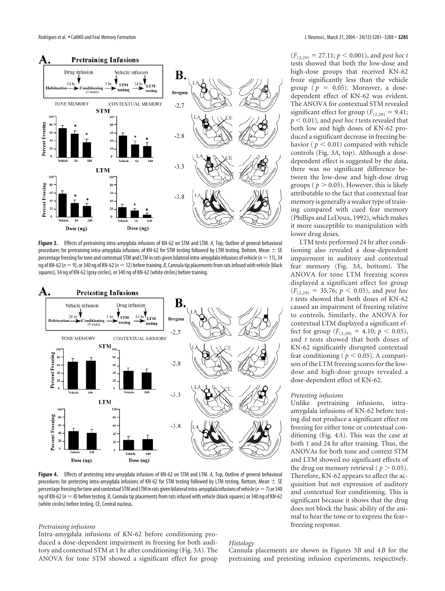

**Figure 3.** Effects of pretraining intra-amygdala infusions of KN-62 on STM and LTM. *A*, Top, Outline of general behavioral procedures for pretraining intra-amygdala infusions of KN-62 for STM testing followed by LTM testing. Bottom, Mean  $\pm$  SE percentage freezing for tone and contextual STM and LTM in rats given bilateral intra-amygdala infusions of vehicle (*n*  $=$  11), 34 ng of KN-62 ( $n=9$ ), or 340 ng of KN-62 ( $n=12$ ) before training. *B*, Cannula tip placements from rats infused with vehicle (black squares), 34 ng of KN-62 (gray circles), or 340 ng of KN-62 (white circles) before training.



**Figure 4.** Effects of pretesting intra-amygdala infusions of KN-62 on STM and LTM. *A*, Top, Outline of general behavioral procedures for pretesting intra-amygdala infusions of KN-62 for STM testing followed by LTM testing. Bottom, Mean  $\pm$  SE percentage freezing for tone and contextual STM and LTM in rats given bilateral intra-amygdala infusions of vehicle (*n*-7) or 340 ng of KN-62 ( $n=8$ ) before testing*. B,* Cannula tip placements from rats infused with vehicle (black squares) or 340 ng of KN-62 (white circles) before testing. CE, Central nucleus.

#### *Pretraining infusions*

Intra-amygdala infusions of KN-62 before conditioning produced a dose-dependent impairment in freezing for both auditory and contextual STM at 1 hr after conditioning (Fig. 3*A*). The ANOVA for tone STM showed a significant effect for group

 $(F_{(2,29)} = 27.11; p \le 0.001)$ , and *post hoc t* tests showed that both the low-dose and high-dose groups that received KN-62 froze significantly less than the vehicle group ( $p = 0.05$ ). Moreover, a dosedependent effect of KN-62 was evident. The ANOVA for contextual STM revealed significant effect for group  $(F_{(2,29)} = 9.41;$  $p < 0.01$ ), and *post hoc t* tests revealed that both low and high doses of KN-62 produced a significant decrease in freezing behavior ( $p < 0.01$ ) compared with vehicle controls (Fig. 3*A*, top). Although a dosedependent effect is suggested by the data, there was no significant difference between the low-dose and high-dose drug groups ( $p > 0.05$ ). However, this is likely attributable to the fact that contextual fear memory is generally a weaker type of training compared with cued fear memory (Phillips and LeDoux, 1992), which makes it more susceptible to manipulation with lower drug doses.

LTM tests performed 24 hr after conditioning also revealed a dose-dependent impairment in auditory and contextual fear memory (Fig. 3*A*, bottom). The ANOVA for tone LTM freezing scores displayed a significant effect for group  $(F_{(2,29)} = 35.76; p < 0.05)$ , and *post hoc t* tests showed that both doses of KN-62 caused an impairment of freezing relative to controls. Similarly, the ANOVA for contextual LTM displayed a significant effect for group  $(F_{(2,29)} = 4.10; p < 0.05)$ , and *t* tests showed that both doses of KN-62 significantly disrupted contextual fear conditioning ( $p < 0.05$ ). A comparison of the LTM freezing scores for the lowdose and high-dose groups revealed a dose-dependent effect of KN-62.

#### *Pretesting infusions*

Unlike pretraining infusions, intraamygdala infusions of KN-62 before testing did not produce a significant effect on freezing for either tone or contextual conditioning (Fig. 4*A*). This was the case at both 1 and 24 hr after training. Thus, the ANOVAs for both tone and context STM and LTM showed no significant effects of the drug on memory retrieval ( $p > 0.05$ ). Therefore, KN-62 appears to affect the acquisition but not expression of auditory and contextual fear conditioning. This is significant because it shows that the drug does not block the basic ability of the animal to hear the tone or to express the fear– freezing response.

*Histology*

Cannula placements are shown in Figures 3*B* and 4*B* for the pretraining and pretesting infusion experiments, respectively.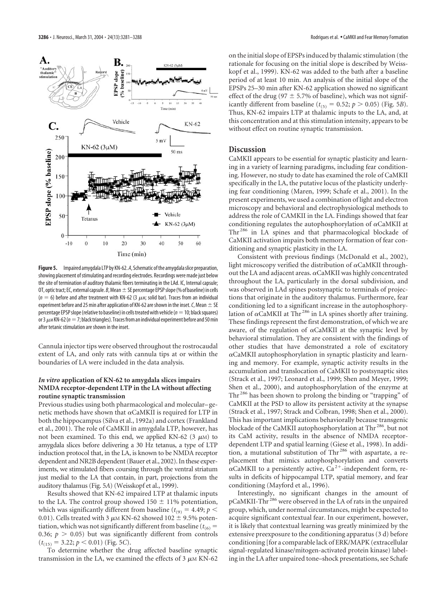

**Figure 5.** Impaired amygdala LTP by KN-62. *A*, Schematic of the amygdala slice preparation, showing placement of stimulating and recording electrodes. Recordings were made just below the site of termination of auditory thalamic fibers terminating in the LAd. IC, Internal capsule; OT, optic tract; EC, external capsule. *B*, Mean  $\pm$  SE percentage EPSP slope (% of baseline) in cells ( $n = 6$ ) before and after treatment with KN-62 (3  $\mu$ m; solid bar). Traces from an individual experiment before and 25 min after application of KN-62 are shown in the inset. *C*, Mean  $\pm$  SE percentage EPSP slope (relative to baseline) in cells treated with vehicle ( $n = 10$ ; black squares) or 3  $\mu$ м KN-62 ( $\emph{n}=$  7; black triangles). Traces from an individual experiment before and 50 min after tetanic stimulation are shown in the inset.

Cannula injector tips were observed throughout the rostrocaudal extent of LA, and only rats with cannula tips at or within the boundaries of LA were included in the data analysis.

#### *In vitro* **application of KN-62 to amygdala slices impairs NMDA receptor-dependent LTP in the LA without affecting routine synaptic transmission**

Previous studies using both pharmacological and molecular–genetic methods have shown that  $\alpha$ CaMKII is required for LTP in both the hippocampus (Silva et al., 1992a) and cortex (Frankland et al., 2001). The role of CaMKII in amygdala LTP, however, has not been examined. To this end, we applied KN-62 (3  $\mu$ M) to amygdala slices before delivering a 30 Hz tetanus, a type of LTP induction protocol that, in the LA, is known to be NMDA receptor dependent and NR2B dependent (Bauer et al., 2002). In these experiments, we stimulated fibers coursing through the ventral striatum just medial to the LA that contain, in part, projections from the auditory thalamus (Fig. 5*A*) (Weisskopf et al., 1999).

Results showed that KN-62 impaired LTP at thalamic inputs to the LA. The control group showed 150  $\pm$  11% potentiation, which was significantly different from baseline ( $t_{(9)} = 4.49; p <$ 0.01). Cells treated with 3  $\mu{\rm m}$  KN-62 showed 102  $\pm$  9.5% potentiation, which was not significantly different from baseline ( $t_{(6)}$  = 0.36;  $p > 0.05$ ) but was significantly different from controls  $(t_{(15)} = 3.22; p < 0.01)$  (Fig. 5*C*).

To determine whether the drug affected baseline synaptic transmission in the LA, we examined the effects of  $3 \mu M KN-62$ 

on the initial slope of EPSPs induced by thalamic stimulation (the rationale for focusing on the initial slope is described by Weisskopf et al., 1999). KN-62 was added to the bath after a baseline period of at least 10 min. An analysis of the initial slope of the EPSPs 25–30 min after KN-62 application showed no significant effect of the drug (97  $\pm$  5.7% of baseline), which was not significantly different from baseline ( $t_{(5)} = 0.52$ ;  $p > 0.05$ ) (Fig. 5*B*). Thus, KN-62 impairs LTP at thalamic inputs to the LA, and, at this concentration and at this stimulation intensity, appears to be without effect on routine synaptic transmission.

### **Discussion**

CaMKII appears to be essential for synaptic plasticity and learning in a variety of learning paradigms, including fear conditioning. However, no study to date has examined the role of CaMKII specifically in the LA, the putative locus of the plasticity underlying fear conditioning (Maren, 1999; Schafe et al., 2001). In the present experiments, we used a combination of light and electron microscopy and behavioral and electrophysiological methods to address the role of CAMKII in the LA. Findings showed that fear conditioning regulates the autophosphorylation of  $\alpha$ CaMKII at Thr<sup>286</sup> in LA spines and that pharmacological blockade of CaMKII activation impairs both memory formation of fear conditioning and synaptic plasticity in the LA.

Consistent with previous findings (McDonald et al., 2002), light microscopy verified the distribution of  $\alpha$ CaMKII throughout the LA and adjacent areas.  $\alpha$ CaMKII was highly concentrated throughout the LA, particularly in the dorsal subdivision, and was observed in LAd spines postsynaptic to terminals of projections that originate in the auditory thalamus. Furthermore, fear conditioning led to a significant increase in the autophosphorylation of  $\alpha$ CaMKII at Thr<sup>286</sup> in LA spines shortly after training. These findings represent the first demonstration, of which we are aware, of the regulation of  $\alpha$ CaMKII at the synaptic level by behavioral stimulation. They are consistent with the findings of other studies that have demonstrated a role of excitatory  $\alpha$ CaMKII autophosphorylation in synaptic plasticity and learning and memory. For example, synaptic activity results in the accumulation and translocation of CaMKII to postsynaptic sites (Strack et al., 1997; Leonard et al., 1999; Shen and Meyer, 1999; Shen et al., 2000), and autophosphorylation of the enzyme at Thr <sup>286</sup> has been shown to prolong the binding or "trapping" of CaMKII at the PSD to allow its persistent activity at the synapse (Strack et al., 1997; Strack and Colbran, 1998; Shen et al., 2000). This has important implications behaviorally because transgenic blockade of the CaMKII autophosphorylation at Thr<sup>286</sup>, but not its CaM activity, results in the absence of NMDA receptordependent LTP and spatial learning (Giese et al., 1998). In addition, a mutational substitution of Thr <sup>286</sup> with aspartate, a replacement that mimics autophosphorylation and converts  $\alpha$ CaMKII to a persistently active, Ca<sup>2+</sup>-independent form, results in deficits of hippocampal LTP, spatial memory, and fear conditioning (Mayford et al., 1996).

Interestingly, no significant changes in the amount of pCaMKII-Thr <sup>286</sup> were observed in the LA of rats in the unpaired group, which, under normal circumstances, might be expected to acquire significant contextual fear. In our experiment, however, it is likely that contextual learning was greatly minimized by the extensive preexposure to the conditioning apparatus (3 d) before conditioning [for a comparable lack of ERK/MAPK (extracellular signal-regulated kinase/mitogen-activated protein kinase) labeling in the LA after unpaired tone–shock presentations, see Schafe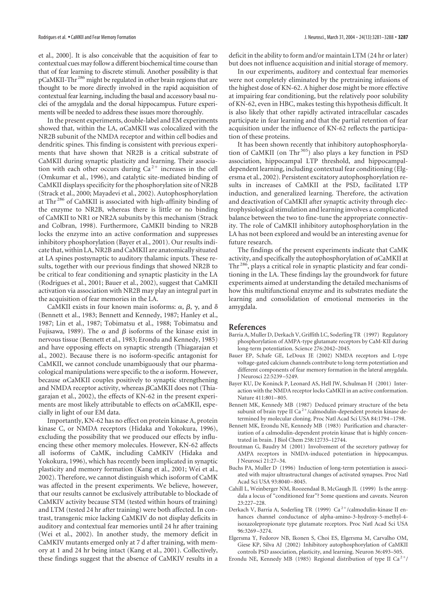et al., 2000]. It is also conceivable that the acquisition of fear to contextual cues may follow a different biochemical time course than that of fear learning to discrete stimuli. Another possibility is that pCaMKII-Thr<sup>286</sup> might be regulated in other brain regions that are thought to be more directly involved in the rapid acquisition of contextual fear learning, including the basal and accessory basal nuclei of the amygdala and the dorsal hippocampus. Future experiments will be needed to address these issues more thoroughly.

In the present experiments, double-label and EM experiments showed that, within the LA,  $\alpha$ CaMKII was colocalized with the NR2B subunit of the NMDA receptor and within cell bodies and dendritic spines. This finding is consistent with previous experiments that have shown that NR2B is a critical substrate of CaMKII during synaptic plasticity and learning. Their association with each other occurs during  $Ca<sup>2+</sup>$  increases in the cell (Omkumar et al., 1996), and catalytic site-mediated binding of CaMKII displays specificity for the phosphorylation site of NR2B (Strack et al., 2000; Mayadevi et al., 2002). Autophosphorylation at Thr <sup>286</sup> of CaMKII is associated with high-affinity binding of the enzyme to NR2B, whereas there is little or no binding of CaMKII to NR1 or NR2A subunits by this mechanism (Strack and Colbran, 1998). Furthermore, CaMKII binding to NR2B locks the enzyme into an active conformation and suppresses inhibitory phosphorylation (Bayer et al., 2001). Our results indicate that, within LA, NR2B and CaMKII are anatomically situated at LA spines postsynaptic to auditory thalamic inputs. These results, together with our previous findings that showed NR2B to be critical to fear conditioning and synaptic plasticity in the LA (Rodrigues et al., 2001; Bauer et al., 2002), suggest that CaMKII activation via association with NR2B may play an integral part in the acquisition of fear memories in the LA.

CaMKII exists in four known main isoforms:  $\alpha$ ,  $\beta$ ,  $\gamma$ , and  $\delta$ (Bennett et al., 1983; Bennett and Kennedy, 1987; Hanley et al., 1987; Lin et al., 1987; Tobimatsu et al., 1988; Tobimatsu and Fujisawa, 1989). The  $\alpha$  and  $\beta$  isoforms of the kinase exist in nervous tissue (Bennett et al., 1983; Erondu and Kennedy, 1985) and have opposing effects on synaptic strength (Thiagarajan et al., 2002). Because there is no isoform-specific antagonist for CaMKII, we cannot conclude unambiguously that our pharmacological manipulations were specific to the  $\alpha$  isoform. However, because  $\alpha$ CaMKII couples positively to synaptic strengthening and NMDA receptor activity, whereas  $\beta$ CaMKII does not (Thiagarajan et al., 2002), the effects of KN-62 in the present experiments are most likely attributable to effects on  $\alpha$ CaMKII, especially in light of our EM data.

Importantly, KN-62 has no effect on protein kinase A, protein kinase C, or NMDA receptors (Hidaka and Yokokura, 1996), excluding the possibility that we produced our effects by influencing these other memory molecules. However, KN-62 affects all isoforms of CaMK, including CaMKIV (Hidaka and Yokokura, 1996), which has recently been implicated in synaptic plasticity and memory formation (Kang et al., 2001; Wei et al., 2002). Therefore, we cannot distinguish which isoform of CaMK was affected in the present experiments. We believe, however, that our results cannot be exclusively attributable to blockade of CaMKIV activity because STM (tested within hours of training) and LTM (tested 24 hr after training) were both affected. In contrast, transgenic mice lacking CaMKIV do not display deficits in auditory and contextual fear memories until 24 hr after training (Wei et al., 2002). In another study, the memory deficit in CaMKIV mutants emerged only at 7 d after training, with memory at 1 and 24 hr being intact (Kang et al., 2001). Collectively, these findings suggest that the absence of CaMKIV results in a

deficit in the ability to form and/or maintain LTM (24 hr or later) but does not influence acquisition and initial storage of memory.

In our experiments, auditory and contextual fear memories were not completely eliminated by the pretraining infusions of the highest dose of KN-62. A higher dose might be more effective at impairing fear conditioning, but the relatively poor solubility of KN-62, even in HBC, makes testing this hypothesis difficult. It is also likely that other rapidly activated intracellular cascades participate in fear learning and that the partial retention of fear acquisition under the influence of KN-62 reflects the participation of these proteins.

It has been shown recently that inhibitory autophosphorylation of CaMKII (on Thr<sup>305</sup>) also plays a key function in PSD association, hippocampal LTP threshold, and hippocampaldependent learning, including contextual fear conditioning (Elgersma et al., 2002). Persistent excitatory autophosphorylation results in increases of CaMKII at the PSD, facilitated LTP induction, and generalized learning. Therefore, the activation and deactivation of CaMKII after synaptic activity through electrophysiological stimulation and learning involves a complicated balance between the two to fine-tune the appropriate connectivity. The role of CaMKII inhibitory autophosphorylation in the LA has not been explored and would be an interesting avenue for future research.

The findings of the present experiments indicate that CaMK activity, and specifically the autophosphorylation of  $\alpha$ CaMKII at Thr<sup>286</sup>, plays a critical role in synaptic plasticity and fear conditioning in the LA. These findings lay the groundwork for future experiments aimed at understanding the detailed mechanisms of how this multifunctional enzyme and its substrates mediate the learning and consolidation of emotional memories in the amygdala.

#### **References**

- Barria A, Muller D, Derkach V, Griffith LC, Soderling TR (1997) Regulatory phosphorylation of AMPA-type glutamate receptors by CaM-KII during long-term potentiation. Science 276:2042–2045.
- Bauer EP, Schafe GE, LeDoux JE (2002) NMDA receptors and L-type voltage-gated calcium channels contribute to long-term potentiation and different components of fear memory formation in the lateral amygdala. J Neurosci 22:5239–5249.
- Bayer KU, De Koninck P, Leonard AS, Hell JW, Schulman H (2001) Interaction with the NMDA receptor locks CaMKII in an active conformation. Nature 411:801–805.
- Bennett MK, Kennedy MB (1987) Deduced primary structure of the beta subunit of brain type II Ca<sup>2+</sup>/calmodulin-dependent protein kinase determined by molecular cloning. Proc Natl Acad Sci USA 84:1794–1798.
- Bennett MK, Erondu NE, Kennedy MB (1983) Purification and characterization of a calmodulin-dependent protein kinase that is highly concentrated in brain. J Biol Chem 258:12735–12744.
- Broutman G, Baudry M (2001) Involvement of the secretory pathway for AMPA receptors in NMDA-induced potentiation in hippocampus. J Neurosci 21:27–34.
- Buchs PA, Muller D (1996) Induction of long-term potentiation is associated with major ultrastructural changes of activated synapses. Proc Natl Acad Sci USA 93:8040–8045.
- Cahill L, Weinberger NM, Roozendaal B, McGaugh JL (1999) Is the amygdala a locus of "conditioned fear"? Some questions and caveats. Neuron 23:227–228.
- Derkach V, Barria A, Soderling TR (1999)  $Ca^{2+}/calmoduli$ n-kinase II enhances channel conductance of alpha-amino-3-hydroxy-5-methyl-4 isoxazolepropionate type glutamate receptors. Proc Natl Acad Sci USA 96:3269–3274.
- Elgersma Y, Fedorov NB, Ikonen S, Choi ES, Elgersma M, Carvalho OM, Giese KP, Silva AJ (2002) Inhibitory autophosphorylation of CaMKII controls PSD association, plasticity, and learning. Neuron 36:493–505.
- Erondu NE, Kennedy MB (1985) Regional distribution of type II Ca<sup>2+</sup>/